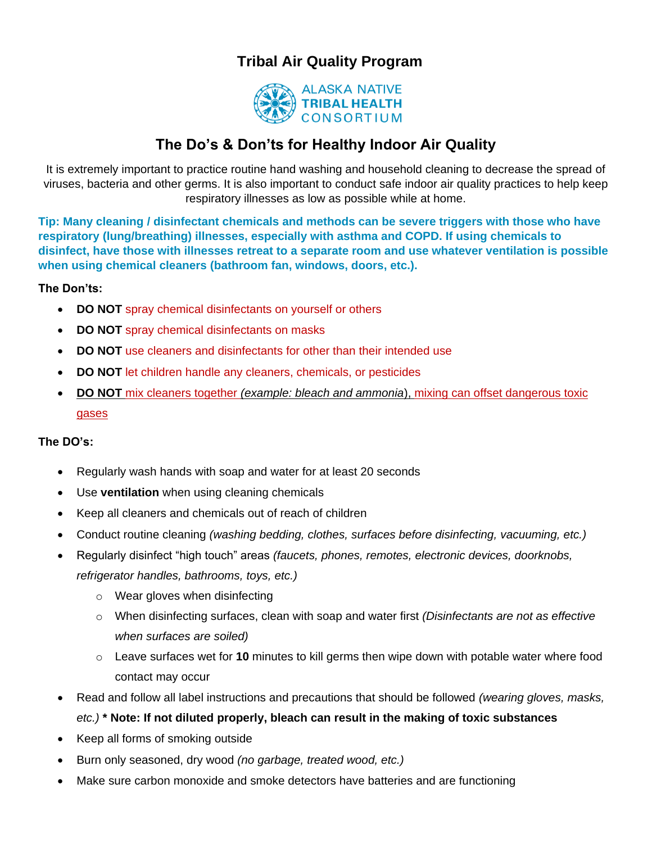# **Tribal Air Quality Program**



## **The Do's & Don'ts for Healthy Indoor Air Quality**

It is extremely important to practice routine hand washing and household cleaning to decrease the spread of viruses, bacteria and other germs. It is also important to conduct safe indoor air quality practices to help keep respiratory illnesses as low as possible while at home.

**Tip: Many cleaning / disinfectant chemicals and methods can be severe triggers with those who have respiratory (lung/breathing) illnesses, especially with asthma and COPD. If using chemicals to disinfect, have those with illnesses retreat to a separate room and use whatever ventilation is possible when using chemical cleaners (bathroom fan, windows, doors, etc.).**

### **The Don'ts:**

- **DO NOT** spray chemical disinfectants on yourself or others
- **DO NOT** spray chemical disinfectants on masks
- **DO NOT** use cleaners and disinfectants for other than their intended use
- **DO NOT** let children handle any cleaners, chemicals, or pesticides
- **DO NOT** mix cleaners together *(example: bleach and ammonia*), mixing can offset dangerous toxic gases

#### **The DO's:**

- Regularly wash hands with soap and water for at least 20 seconds
- Use **ventilation** when using cleaning chemicals
- Keep all cleaners and chemicals out of reach of children
- Conduct routine cleaning *(washing bedding, clothes, surfaces before disinfecting, vacuuming, etc.)*
- Regularly disinfect "high touch" areas *(faucets, phones, remotes, electronic devices, doorknobs,*

*refrigerator handles, bathrooms, toys, etc.)*

- o Wear gloves when disinfecting
- o When disinfecting surfaces, clean with soap and water first *(Disinfectants are not as effective when surfaces are soiled)*
- o Leave surfaces wet for **10** minutes to kill germs then wipe down with potable water where food contact may occur
- Read and follow all label instructions and precautions that should be followed *(wearing gloves, masks,*

#### *etc.)* **\* Note: If not diluted properly, bleach can result in the making of toxic substances**

- Keep all forms of smoking outside
- Burn only seasoned, dry wood *(no garbage, treated wood, etc.)*
- Make sure carbon monoxide and smoke detectors have batteries and are functioning